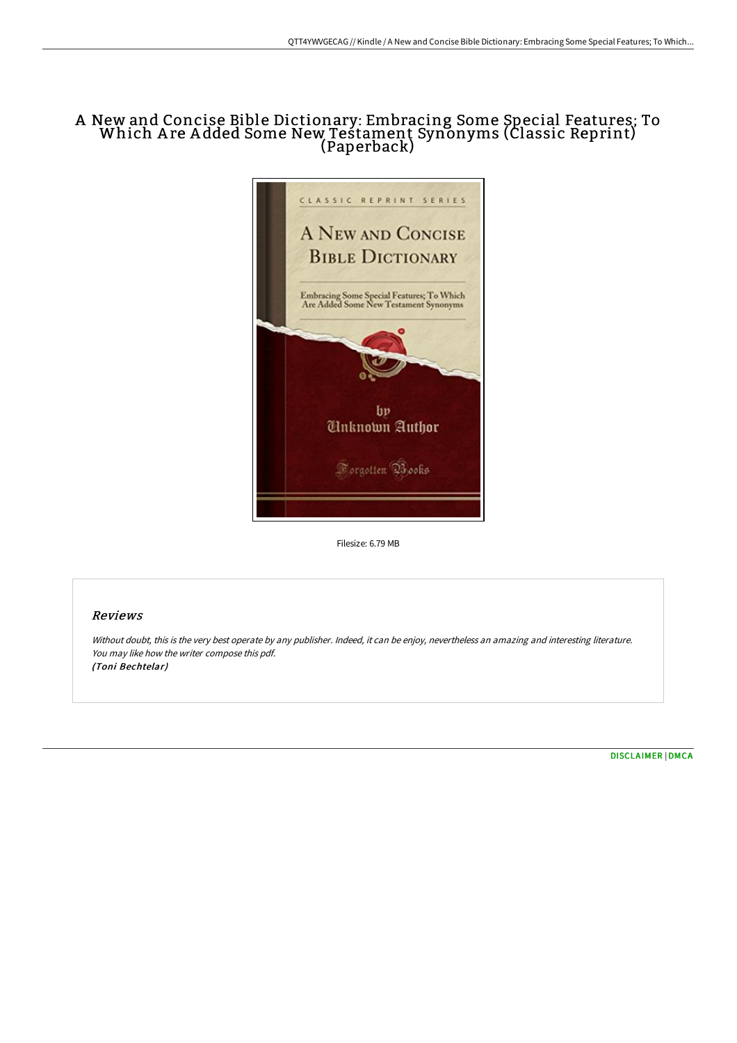# A New and Concise Bible Dictionary: Embracing Some Special Features; To Which A re A dded Some New Testament Synonyms (Classic Reprint) (Paperback)



Filesize: 6.79 MB

## Reviews

Without doubt, this is the very best operate by any publisher. Indeed, it can be enjoy, nevertheless an amazing and interesting literature. You may like how the writer compose this pdf. (Toni Bechtelar)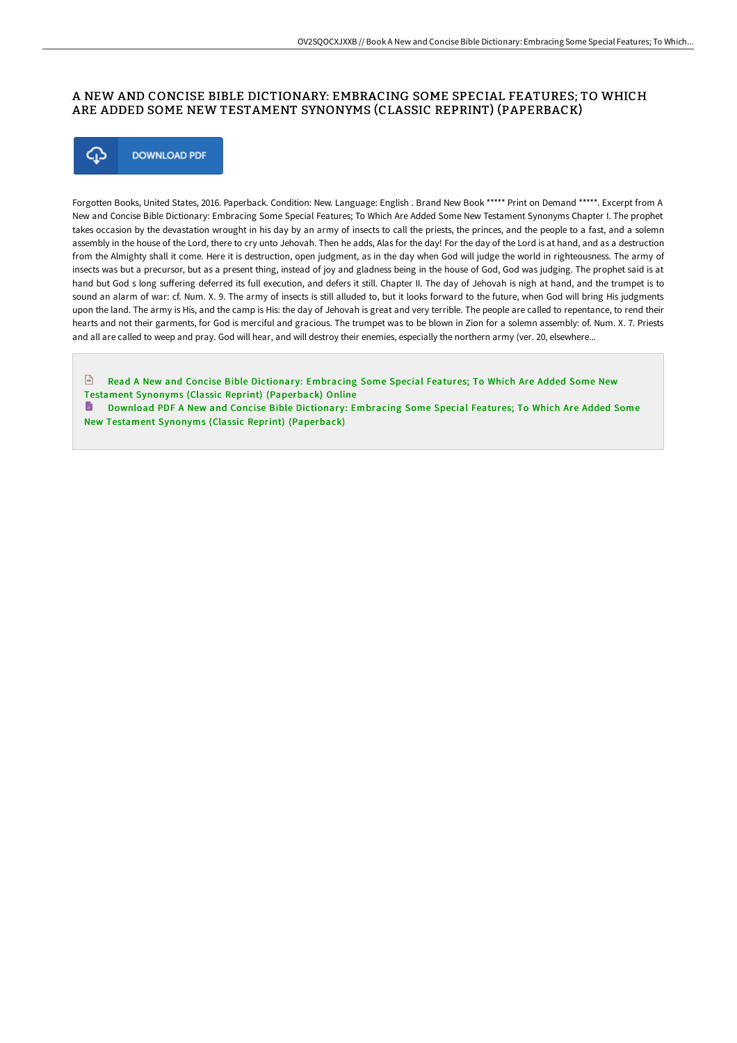## A NEW AND CONCISE BIBLE DICTIONARY: EMBRACING SOME SPECIAL FEATURES; TO WHICH ARE ADDED SOME NEW TESTAMENT SYNONYMS (CLASSIC REPRINT) (PAPERBACK)



Forgotten Books, United States, 2016. Paperback. Condition: New. Language: English . Brand New Book \*\*\*\*\* Print on Demand \*\*\*\*\*. Excerpt from A New and Concise Bible Dictionary: Embracing Some Special Features; To Which Are Added Some New Testament Synonyms Chapter I. The prophet takes occasion by the devastation wrought in his day by an army of insects to call the priests, the princes, and the people to a fast, and a solemn assembly in the house of the Lord, there to cry unto Jehovah. Then he adds, Alas for the day! For the day of the Lord is at hand, and as a destruction from the Almighty shall it come. Here it is destruction, open judgment, as in the day when God will judge the world in righteousness. The army of insects was but a precursor, but as a present thing, instead of joy and gladness being in the house of God, God was judging. The prophet said is at hand but God s long suffering deferred its full execution, and defers it still. Chapter II. The day of Jehovah is nigh at hand, and the trumpet is to sound an alarm of war: cf. Num. X. 9. The army of insects is still alluded to, but it looks forward to the future, when God will bring His judgments upon the land. The army is His, and the camp is His: the day of Jehovah is great and very terrible. The people are called to repentance, to rend their hearts and not their garments, for God is merciful and gracious. The trumpet was to be blown in Zion for a solemn assembly: of. Num. X. 7. Priests and all are called to weep and pray. God will hear, and will destroy their enemies, especially the northern army (ver. 20, elsewhere...

 $\Box$  Read A New and Concise Bible Dictionary: Embracing Some Special Features; To Which Are Added Some New Testament Synonyms (Classic Reprint) [\(Paperback\)](http://bookera.tech/a-new-and-concise-bible-dictionary-embracing-som.html) Online

**D** Download PDF A New and Concise Bible Dictionary: Embracing Some Special Features; To Which Are Added Some New Testament Synonyms (Classic Reprint) [\(Paperback\)](http://bookera.tech/a-new-and-concise-bible-dictionary-embracing-som.html)